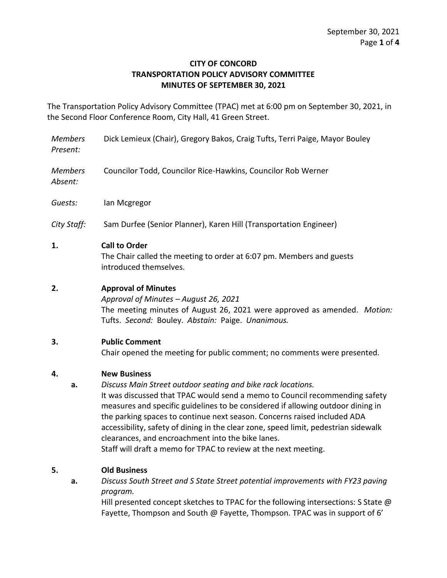#### **CITY OF CONCORD TRANSPORTATION POLICY ADVISORY COMMITTEE MINUTES OF SEPTEMBER 30, 2021**

The Transportation Policy Advisory Committee (TPAC) met at 6:00 pm on September 30, 2021, in the Second Floor Conference Room, City Hall, 41 Green Street.

- *Members Present:* Dick Lemieux (Chair), Gregory Bakos, Craig Tufts, Terri Paige, Mayor Bouley
- *Members Absent:* Councilor Todd, Councilor Rice-Hawkins, Councilor Rob Werner

*Guests:* Ian Mcgregor

*City Staff:* Sam Durfee (Senior Planner), Karen Hill (Transportation Engineer)

### **1. Call to Order**

The Chair called the meeting to order at 6:07 pm. Members and guests introduced themselves.

# **2. Approval of Minutes**

*Approval of Minutes – August 26, 2021* The meeting minutes of August 26, 2021 were approved as amended. *Motion:*  Tufts. *Second:* Bouley. *Abstain:* Paige. *Unanimous.* 

### **3. Public Comment**

Chair opened the meeting for public comment; no comments were presented.

### **4. New Business**

**a.** *Discuss Main Street outdoor seating and bike rack locations.*  It was discussed that TPAC would send a memo to Council recommending safety measures and specific guidelines to be considered if allowing outdoor dining in the parking spaces to continue next season. Concerns raised included ADA accessibility, safety of dining in the clear zone, speed limit, pedestrian sidewalk clearances, and encroachment into the bike lanes.

Staff will draft a memo for TPAC to review at the next meeting.

# **5. Old Business**

**a.** *Discuss South Street and S State Street potential improvements with FY23 paving program.*

Hill presented concept sketches to TPAC for the following intersections: S State  $\omega$ Fayette, Thompson and South @ Fayette, Thompson. TPAC was in support of 6'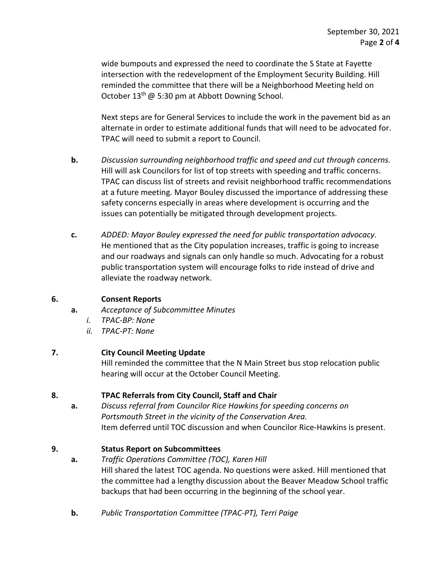wide bumpouts and expressed the need to coordinate the S State at Fayette intersection with the redevelopment of the Employment Security Building. Hill reminded the committee that there will be a Neighborhood Meeting held on October 13<sup>th</sup> @ 5:30 pm at Abbott Downing School.

Next steps are for General Services to include the work in the pavement bid as an alternate in order to estimate additional funds that will need to be advocated for. TPAC will need to submit a report to Council.

- **b.** *Discussion surrounding neighborhood traffic and speed and cut through concerns.* Hill will ask Councilors for list of top streets with speeding and traffic concerns. TPAC can discuss list of streets and revisit neighborhood traffic recommendations at a future meeting. Mayor Bouley discussed the importance of addressing these safety concerns especially in areas where development is occurring and the issues can potentially be mitigated through development projects.
- **c.** *ADDED: Mayor Bouley expressed the need for public transportation advocacy.* He mentioned that as the City population increases, traffic is going to increase and our roadways and signals can only handle so much. Advocating for a robust public transportation system will encourage folks to ride instead of drive and alleviate the roadway network.

### **6. Consent Reports**

- **a.** *Acceptance of Subcommittee Minutes*
	- *i. TPAC-BP: None*
	- *ii. TPAC-PT: None*

# **7. City Council Meeting Update**

Hill reminded the committee that the N Main Street bus stop relocation public hearing will occur at the October Council Meeting.

# **8. TPAC Referrals from City Council, Staff and Chair**

**a.** *Discuss referral from Councilor Rice Hawkins for speeding concerns on Portsmouth Street in the vicinity of the Conservation Area.* Item deferred until TOC discussion and when Councilor Rice-Hawkins is present.

# **9. Status Report on Subcommittees**

- **a.** *Traffic Operations Committee (TOC), Karen Hill* Hill shared the latest TOC agenda. No questions were asked. Hill mentioned that the committee had a lengthy discussion about the Beaver Meadow School traffic backups that had been occurring in the beginning of the school year.
- **b.** *Public Transportation Committee (TPAC-PT), Terri Paige*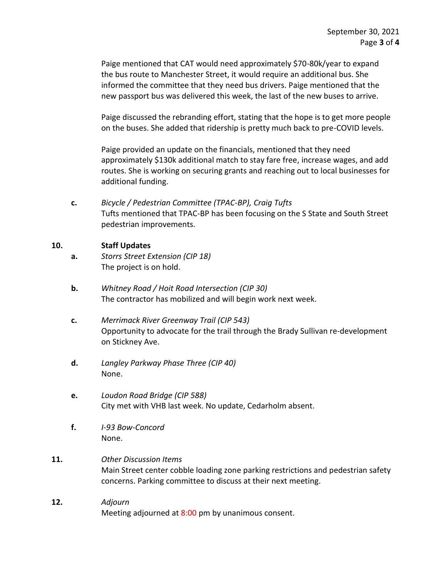Paige mentioned that CAT would need approximately \$70-80k/year to expand the bus route to Manchester Street, it would require an additional bus. She informed the committee that they need bus drivers. Paige mentioned that the new passport bus was delivered this week, the last of the new buses to arrive.

Paige discussed the rebranding effort, stating that the hope is to get more people on the buses. She added that ridership is pretty much back to pre-COVID levels.

Paige provided an update on the financials, mentioned that they need approximately \$130k additional match to stay fare free, increase wages, and add routes. She is working on securing grants and reaching out to local businesses for additional funding.

**c.** *Bicycle / Pedestrian Committee (TPAC-BP), Craig Tufts* Tufts mentioned that TPAC-BP has been focusing on the S State and South Street pedestrian improvements.

#### **10. Staff Updates**

- **a.** *Storrs Street Extension (CIP 18)* The project is on hold.
- **b.** *Whitney Road / Hoit Road Intersection (CIP 30)* The contractor has mobilized and will begin work next week.
- **c.** *Merrimack River Greenway Trail (CIP 543)* Opportunity to advocate for the trail through the Brady Sullivan re-development on Stickney Ave.
- **d.** *Langley Parkway Phase Three (CIP 40)* None.
- **e.** *Loudon Road Bridge (CIP 588)* City met with VHB last week. No update, Cedarholm absent.
- **f.** *I-93 Bow-Concord* None.
- **11.** *Other Discussion Items* Main Street center cobble loading zone parking restrictions and pedestrian safety concerns. Parking committee to discuss at their next meeting.
- **12.** *Adjourn* Meeting adjourned at 8:00 pm by unanimous consent.